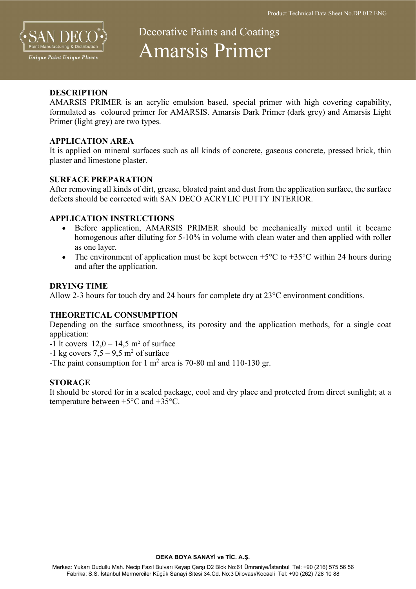

# Decorative Paints and Coatings Amarsis Primer

# **DESCRIPTION**

AMARSIS PRIMER is an acrylic emulsion based, special primer with high covering capability, formulated as coloured primer for AMARSIS. Amarsis Dark Primer (dark grey) and Amarsis Light Primer (light grey) are two types.

### APPLICATION AREA

It is applied on mineral surfaces such as all kinds of concrete, gaseous concrete, pressed brick, thin plaster and limestone plaster.

## SURFACE PREPARATION

After removing all kinds of dirt, grease, bloated paint and dust from the application surface, the surface defects should be corrected with SAN DECO ACRYLIC PUTTY INTERIOR.

## APPLICATION INSTRUCTIONS

- Before application, AMARSIS PRIMER should be mechanically mixed until it became homogenous after diluting for 5-10% in volume with clean water and then applied with roller as one layer.
- The environment of application must be kept between  $+5^{\circ}$ C to  $+35^{\circ}$ C within 24 hours during and after the application.

### DRYING TIME

Allow 2-3 hours for touch dry and 24 hours for complete dry at 23°C environment conditions.

# THEORETICAL CONSUMPTION

Depending on the surface smoothness, its porosity and the application methods, for a single coat application:

- $-1$  lt covers  $12,0 14,5$  m<sup>2</sup> of surface
- -1 kg covers  $7,5 9,5$  m<sup>2</sup> of surface
- -The paint consumption for  $1 \text{ m}^2$  area is 70-80 ml and 110-130 gr.

### **STORAGE**

It should be stored for in a sealed package, cool and dry place and protected from direct sunlight; at a temperature between +5°C and +35°C.